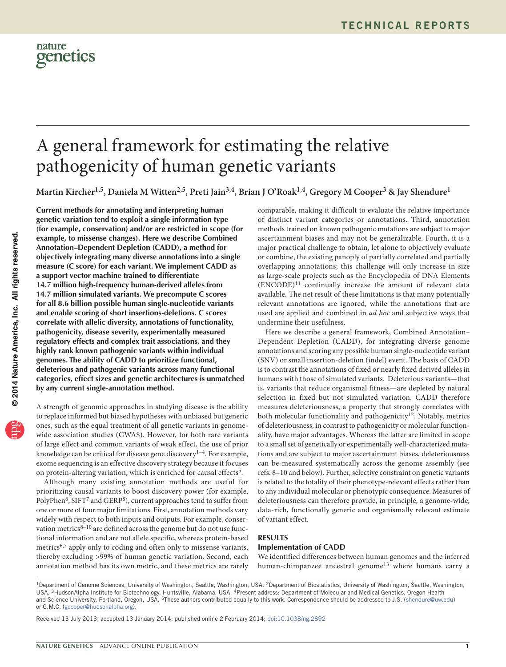# A general framework for estimating the relative pathogenicity of human genetic variants

Martin Kircher<sup>1,5</sup>, Daniela M Witten<sup>2,5</sup>, Preti Jain<sup>3,4</sup>, Brian J O'Roak<sup>1,4</sup>, Gregory M Cooper<sup>3</sup> & Jay Shendure<sup>1</sup>

**Current methods for annotating and interpreting human genetic variation tend to exploit a single information type (for example, conservation) and/or are restricted in scope (for example, to missense changes). Here we describe Combined Annotation–Dependent Depletion (CADD), a method for objectively integrating many diverse annotations into a single measure (C score) for each variant. We implement CADD as a support vector machine trained to differentiate 14.7 million high-frequency human-derived alleles from 14.7 million simulated variants. We precompute C scores for all 8.6 billion possible human single-nucleotide variants and enable scoring of short insertions-deletions. C scores correlate with allelic diversity, annotations of functionality, pathogenicity, disease severity, experimentally measured regulatory effects and complex trait associations, and they highly rank known pathogenic variants within individual genomes. The ability of CADD to prioritize functional, deleterious and pathogenic variants across many functional categories, effect sizes and genetic architectures is unmatched by any current single-annotation method.**

A strength of genomic approaches in studying disease is the ability to replace informed but biased hypotheses with unbiased but generic ones, such as the equal treatment of all genetic variants in genomewide association studies (GWAS). However, for both rare variants of large effect and common variants of weak effect, the use of prior knowledge can be critical for disease gene discovery<sup>1-4</sup>. For example, exome sequencing is an effective discovery strategy because it focuses on protein-altering variation, which is enriched for causal effects<sup>[5](#page-5-2)</sup>.

Although many existing annotation methods are useful for prioritizing causal variants to boost discovery power (for example, PolyPhen<sup>[6](#page-5-3)</sup>, SIFT<sup>7</sup> and GERP<sup>8</sup>), current approaches tend to suffer from one or more of four major limitations. First, annotation methods vary widely with respect to both inputs and outputs. For example, conservation metrics $8-10$  are defined across the genome but do not use functional information and are not allele specific, whereas protein-based metrics[6,](#page-5-3)[7](#page-5-4) apply only to coding and often only to missense variants, thereby excluding >99% of human genetic variation. Second, each annotation method has its own metric, and these metrics are rarely comparable, making it difficult to evaluate the relative importance of distinct variant categories or annotations. Third, annotation methods trained on known pathogenic mutations are subject to major ascertainment biases and may not be generalizable. Fourth, it is a major practical challenge to obtain, let alone to objectively evaluate or combine, the existing panoply of partially correlated and partially overlapping annotations; this challenge will only increase in size as large-scale projects such as the Encyclopedia of DNA Elements (ENCODE)[11](#page-5-7) continually increase the amount of relevant data available. The net result of these limitations is that many potentially relevant annotations are ignored, while the annotations that are used are applied and combined in *ad hoc* and subjective ways that undermine their usefulness.

Here we describe a general framework, Combined Annotation– Dependent Depletion (CADD), for integrating diverse genome annotations and scoring any possible human single-nucleotide variant (SNV) or small insertion-deletion (indel) event. The basis of CADD is to contrast the annotations of fixed or nearly fixed derived alleles in humans with those of simulated variants. Deleterious variants—that is, variants that reduce organismal fitness—are depleted by natural selection in fixed but not simulated variation. CADD therefore measures deleteriousness, a property that strongly correlates with both molecular functionality and pathogenicity<sup>12</sup>. Notably, metrics of deleteriousness, in contrast to pathogenicity or molecular functionality, have major advantages. Whereas the latter are limited in scope to a small set of genetically or experimentally well-characterized mutations and are subject to major ascertainment biases, deleteriousness can be measured systematically across the genome assembly (see refs. [8–](#page-5-5)[10](#page-5-6) and below). Further, selective constraint on genetic variants is related to the totality of their phenotype-relevant effects rather than to any individual molecular or phenotypic consequence. Measures of deleteriousness can therefore provide, in principle, a genome-wide, data-rich, functionally generic and organismally relevant estimate of variant effect.

# **RESULTS**

### **Implementation of CADD**

We identified differences between human genomes and the inferred human-chimpanzee ancestral genome<sup>13</sup> where humans carry a

Received 13 July 2013; accepted 13 January 2014; published online 2 February 2014; [doi:10.1038/ng.2892](http://www.nature.com/doifinder/10.1038/ng.2892)

<sup>&</sup>lt;sup>1</sup>Department of Genome Sciences, University of Washington, Seattle, Washington, USA. <sup>2</sup>Department of Biostatistics, University of Washington, Seattle, Washington, USA. <sup>3</sup>HudsonAlpha Institute for Biotechnology, Huntsville, Alabama, USA. <sup>4</sup>Present address: Department of Molecular and Medical Genetics, Oregon Health and Science University, Portland, Oregon, USA. <sup>5</sup>These authors contributed equally to this work. Correspondence should be addressed to J.S. (shendure@uw.edu) or G.M.C. (gcooper@hudsonalpha.org).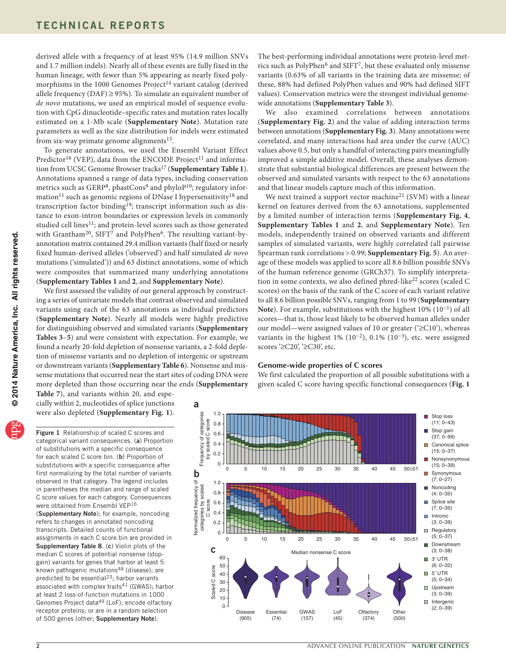derived allele with a frequency of at least 95% (14.9 million SNVs and 1.7 million indels). Nearly all of these events are fully fixed in the human lineage, with fewer than 5% appearing as nearly fixed poly-morphisms in the 1000 Genomes Project<sup>[14](#page-5-10)</sup> variant catalog (derived allele frequency ( $DAF$ )  $\geq$  95%). To simulate an equivalent number of *de novo* mutations, we used an empirical model of sequence evolution with CpG dinucleotide–specific rates and mutation rates locally estimated on a 1-Mb scale (**Supplementary Note**). Mutation rate parameters as well as the size distribution for indels were estimated from six-way primate genome alignments<sup>[15](#page-5-11)</sup>.

To generate annotations, we used the Ensembl Variant Effect Predictor<sup>16</sup> (VEP), data from the ENCODE Project<sup>11</sup> and information from UCSC Genome Browser tracks[17](#page-5-13) (**Supplementary Table 1**). Annotations spanned a range of data types, including conservation metrics such as GERP<sup>[8](#page-5-5)</sup>, phastCons<sup>[9](#page-5-14)</sup> and phyloP<sup>[10](#page-5-6)</sup>; regulatory information<sup>11</sup> such as genomic regions of DNase I hypersensitivity<sup>18</sup> and transcription factor binding<sup>[19](#page-5-16)</sup>; transcript information such as distance to exon-intron boundaries or expression levels in commonly studied cell lines<sup>[11](#page-5-7)</sup>; and protein-level scores such as those generated with Grantham<sup>20</sup>, SIFT<sup>[7](#page-5-4)</sup> and PolyPhen<sup>6</sup>. The resulting variant-byannotation matrix contained 29.4 million variants (half fixed or nearly fixed human-derived alleles ('observed') and half simulated *de novo* mutations ('simulated')) and 63 distinct annotations, some of which were composites that summarized many underlying annotations (**Supplementary Tables 1** and **2**, and **Supplementary Note**).

We first assessed the validity of our general approach by constructing a series of univariate models that contrast observed and simulated variants using each of the 63 annotations as individual predictors (**Supplementary Note**). Nearly all models were highly predictive for distinguishing observed and simulated variants (**Supplementary Tables 3**–**5**) and were consistent with expectation. For example, we found a nearly 20-fold depletion of nonsense variants, a 2-fold depletion of missense variants and no depletion of intergenic or upstream or downstream variants (**Supplementary Table 6**). Nonsense and missense mutations that occurred near the start sites of coding DNA were more depleted than those occurring near the ends (**Supplementary**  The best-performing individual annotations were protein-level metrics such as PolyPhen<sup>6</sup> and SIFT<sup>7</sup>, but these evaluated only missense variants (0.63% of all variants in the training data are missense; of these, 88% had defined PolyPhen values and 90% had defined SIFT values). Conservation metrics were the strongest individual genomewide annotations (**Supplementary Table 3**).

We also examined correlations between annotations (**Supplementary Fig. 2**) and the value of adding interaction terms between annotations (**Supplementary Fig. 3**). Many annotations were correlated, and many interactions had area under the curve (AUC) values above 0.5, but only a handful of interacting pairs meaningfully improved a simple additive model. Overall, these analyses demonstrate that substantial biological differences are present between the observed and simulated variants with respect to the 63 annotations and that linear models capture much of this information.

We next trained a support vector machine<sup>21</sup> (SVM) with a linear kernel on features derived from the 63 annotations, supplemented by a limited number of interaction terms (**Supplementary Fig. 4**, **Supplementary Tables 1** and **2**, and **Supplementary Note**). Ten models, independently trained on observed variants and different samples of simulated variants, were highly correlated (all pairwise Spearman rank correlations > 0.99; **Supplementary Fig. 5**). An average of these models was applied to score all 8.6 billion possible SNVs of the human reference genome (GRCh37). To simplify interpreta-tion in some contexts, we also defined phred-like<sup>[22](#page-5-19)</sup> scores (scaled C scores) on the basis of the rank of the C score of each variant relative to all 8.6 billion possible SNVs, ranging from 1 to 99 (**Supplementary**  Note). For example, substitutions with the highest 10% (10<sup>-1</sup>) of all scores—that is, those least likely to be observed human alleles under our model—were assigned values of 10 or greater ('≥C10'), whereas variants in the highest 1% (10<sup>-2</sup>), 0.1% (10<sup>-3</sup>), etc. were assigned scores '≥C20', '≥C30', etc.

### **Genome-wide properties of C scores**

We first calculated the proportion of all possible substitutions with a given scaled C score having specific functional consequences (**[Fig. 1](#page-1-0)**



**Table 7**), and variants within 20, and especially within 2, nucleotides of splice junctions

**© 2014 Nature America, Inc. All rights reserved.**

2014 Nature America, Inc. All rights reserved.

<span id="page-1-0"></span>Figure 1 Relationship of scaled C scores and categorical variant consequences. (a) Proportion of substitutions with a specific consequence for each scaled C score bin. (b) Proportion of substitutions with a specific consequence after first normalizing by the total number of variants observed in that category. The legend includes in parentheses the median and range of scaled C score values for each category. Consequences were obtained from Ensembl VEP[16](#page-5-12) (Supplementary Note); for example, noncoding refers to changes in annotated noncoding transcripts. Detailed counts of functional assignments in each C score bin are provided in

Supplementary Table 8. (c) Violin plots of the median C scores of potential nonsense (stopgain) variants for genes that harbor at least 5 known pathogenic mutation[s48](#page-5-20) (disease); are predicted to be essential<sup>23</sup>; harbor variants associated with complex traits<sup>41</sup> (GWAS); harbor at least 2 loss-of-function mutations in 1000 Genomes Project data<sup>49</sup> (LoF); encode olfactory receptor proteins; or are in a random selection of 500 genes (other; Supplementary Note).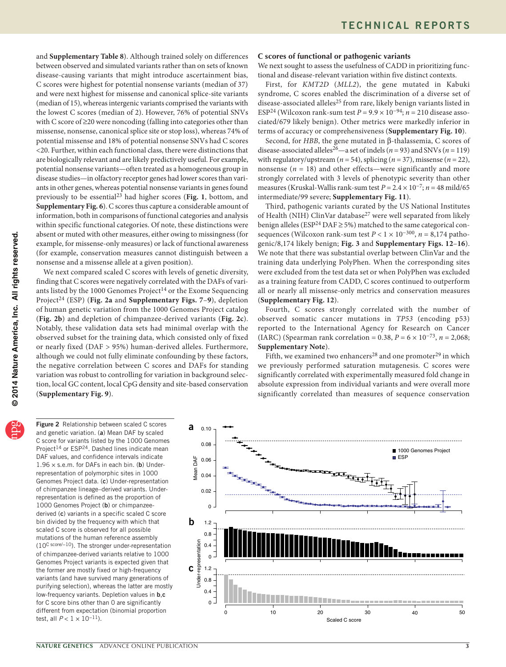and **Supplementary Table 8**). Although trained solely on differences between observed and simulated variants rather than on sets of known disease-causing variants that might introduce ascertainment bias, C scores were highest for potential nonsense variants (median of 37) and were next highest for missense and canonical splice-site variants (median of 15), whereas intergenic variants comprised the variants with the lowest C scores (median of 2). However, 76% of potential SNVs with C score of  $\geq$ 20 were noncoding (falling into categories other than missense, nonsense, canonical splice site or stop loss), whereas 74% of potential missense and 18% of potential nonsense SNVs had C scores <20. Further, within each functional class, there were distinctions that are biologically relevant and are likely predictively useful. For example, potential nonsense variants—often treated as a homogeneous group in disease studies—in olfactory receptor genes had lower scores than variants in other genes, whereas potential nonsense variants in genes found previously to be essential[23](#page-5-21) had higher scores (**[Fig. 1](#page-1-0)**, bottom, and **Supplementary Fig. 6**). C scores thus capture a considerable amount of information, both in comparisons of functional categories and analysis within specific functional categories. Of note, these distinctions were absent or muted with other measures, either owing to missingness (for example, for missense-only measures) or lack of functional awareness (for example, conservation measures cannot distinguish between a nonsense and a missense allele at a given position).

We next compared scaled C scores with levels of genetic diversity, finding that C scores were negatively correlated with the DAFs of variants listed by the 1000 Genomes  $Project<sup>14</sup>$  or the Exome Sequencing Project[24](#page-5-24) (ESP) (**[Fig. 2a](#page-2-0)** and **Supplementary Figs. 7**–**9**), depletion of human genetic variation from the 1000 Genomes Project catalog (**[Fig. 2b](#page-2-0)**) and depletion of chimpanzee-derived variants (**[Fig. 2c](#page-2-0)**). Notably, these validation data sets had minimal overlap with the observed subset for the training data, which consisted only of fixed or nearly fixed (DAF > 95%) human-derived alleles. Furthermore, although we could not fully eliminate confounding by these factors, the negative correlation between C scores and DAFs for standing variation was robust to controlling for variation in background selection, local GC content, local CpG density and site-based conservation (**Supplementary Fig. 9**).

### **C scores of functional or pathogenic variants**

We next sought to assess the usefulness of CADD in prioritizing functional and disease-relevant variation within five distinct contexts.

First, for *KMT2D* (*MLL2*), the gene mutated in Kabuki syndrome, C scores enabled the discrimination of a diverse set of disease-associated alleles<sup>25</sup> from rare, likely benign variants listed in ESP<sup>24</sup> (Wilcoxon rank-sum test  $P = 9.9 \times 10^{-94}$ ;  $n = 210$  disease associated/679 likely benign). Other metrics were markedly inferior in terms of accuracy or comprehensiveness (**Supplementary Fig. 10**).

Second, for *HBB*, the gene mutated in β-thalassemia, C scores of disease-associated alleles<sup>26</sup>—a set of indels ( $n = 93$ ) and SNVs ( $n = 119$ ) with regulatory/upstream ( $n = 54$ ), splicing ( $n = 37$ ), missense ( $n = 22$ ), nonsense ( $n = 18$ ) and other effects—were significantly and more strongly correlated with 3 levels of phenotypic severity than other measures (Kruskal-Wallis rank-sum test *P* = 2.4 × 10−7; *n* = 48 mild/65 intermediate/99 severe; **Supplementary Fig. 11**).

Third, pathogenic variants curated by the US National Institutes of Health (NIH) ClinVar database<sup>27</sup> were well separated from likely benign alleles (ESP<sup>24</sup> DAF  $\geq$  5%) matched to the same categorical consequences (Wilcoxon rank-sum test  $P < 1 \times 10^{-300}$ ,  $n = 8,174$  pathogenic/8,174 likely benign; **[Fig. 3](#page-3-0)** and **Supplementary Figs. 12**–**16**). We note that there was substantial overlap between ClinVar and the training data underlying PolyPhen. When the corresponding sites were excluded from the test data set or when PolyPhen was excluded as a training feature from CADD, C scores continued to outperform all or nearly all missense-only metrics and conservation measures (**Supplementary Fig. 12**).

Fourth, C scores strongly correlated with the number of observed somatic cancer mutations in *TP53* (encoding p53) reported to the International Agency for Research on Cancer (IARC) (Spearman rank correlation =  $0.38$ ,  $P = 6 \times 10^{-73}$ ,  $n = 2,068$ ; **Supplementary Note**).

Fifth, we examined two enhancers<sup>[28](#page-5-28)</sup> and one promoter<sup>29</sup> in which we previously performed saturation mutagenesis. C scores were significantly correlated with experimentally measured fold change in absolute expression from individual variants and were overall more significantly correlated than measures of sequence conservation

<span id="page-2-0"></span>Figure 2 Relationship between scaled C scores and genetic variation. (a) Mean DAF by scaled C score for variants listed by the 1000 Genomes Project<sup>14</sup> or ESP<sup>[24](#page-5-24)</sup>. Dashed lines indicate mean DAF values, and confidence intervals indicate  $1.96 \times$  s.e.m. for DAFs in each bin. (b) Underrepresentation of polymorphic sites in 1000 Genomes Project data. (c) Under-representation of chimpanzee lineage–derived variants. Underrepresentation is defined as the proportion of 1000 Genomes Project (b) or chimpanzeederived (c) variants in a specific scaled C score bin divided by the frequency with which that scaled C score is observed for all possible mutations of the human reference assembly (10<sup>C score/−10</sup>). The stronger under-representation of chimpanzee-derived variants relative to 1000 Genomes Project variants is expected given that the former are mostly fixed or high-frequency variants (and have survived many generations of purifying selection), whereas the latter are mostly low-frequency variants. Depletion values in b,c for C score bins other than 0 are significantly different from expectation (binomial proportion test, all *P* < 1 × 10−11).

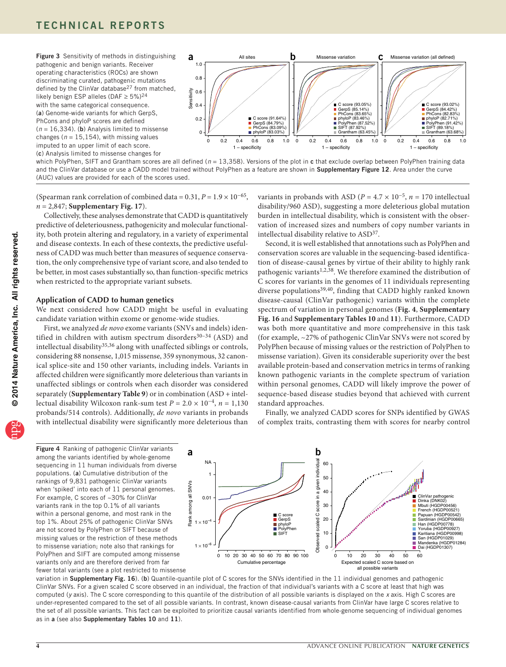<span id="page-3-0"></span>Figure 3 Sensitivity of methods in distinguishing pathogenic and benign variants. Receiver operating characteristics (ROCs) are shown discriminating curated, pathogenic mutations defined by the ClinVar database<sup>27</sup> from matched, likely benign ESP alleles (DAF  $\geq$  5%)<sup>24</sup> with the same categorical consequence. (a) Genome-wide variants for which GerpS, PhCons and phyloP scores are defined  $(n = 16,334)$ . (b) Analysis limited to missense changes ( $n = 15,154$ ), with missing values imputed to an upper limit of each score. (c) Analysis limited to missense changes for



which PolyPhen, SIFT and Grantham scores are all defined ( $n = 13,358$ ). Versions of the plot in c that exclude overlap between PolyPhen training data and the ClinVar database or use a CADD model trained without PolyPhen as a feature are shown in Supplementary Figure 12. Area under the curve (AUC) values are provided for each of the scores used.

(Spearman rank correlation of combined data =  $0.31$ ,  $P = 1.9 \times 10^{-65}$ , *n* = 2,847; **Supplementary Fig. 17**).

Collectively, these analyses demonstrate that CADD is quantitatively predictive of deleteriousness, pathogenicity and molecular functionality, both protein altering and regulatory, in a variety of experimental and disease contexts. In each of these contexts, the predictive usefulness of CADD was much better than measures of sequence conservation, the only comprehensive type of variant score, and also tended to be better, in most cases substantially so, than function-specific metrics when restricted to the appropriate variant subsets.

## **Application of CADD to human genetics**

We next considered how CADD might be useful in evaluating candidate variation within exome or genome-wide studies.

First, we analyzed *de novo* exome variants (SNVs and indels) identified in children with autism spectrum disorders<sup>30-34</sup> (ASD) and intellectual disability<sup>[35,](#page-5-32)[36](#page-5-33)</sup> along with unaffected siblings or controls, considering 88 nonsense, 1,015 missense, 359 synonymous, 32 canonical splice-site and 150 other variants, including indels. Variants in affected children were significantly more deleterious than variants in unaffected siblings or controls when each disorder was considered separately (**Supplementary Table 9**) or in combination (ASD + intellectual disability Wilcoxon rank-sum test  $P = 2.0 \times 10^{-4}$ ,  $n = 1,130$ probands/514 controls). Additionally, *de novo* variants in probands with intellectual disability were significantly more deleterious than

variants in probands with ASD ( $P = 4.7 \times 10^{-5}$ ,  $n = 170$  intellectual disability/960 ASD), suggesting a more deleterious global mutation burden in intellectual disability, which is consistent with the observation of increased sizes and numbers of copy number variants in intellectual disability relative to ASD<sup>37</sup>.

Second, it is well established that annotations such as PolyPhen and conservation scores are valuable in the sequencing-based identification of disease-causal genes by virtue of their ability to highly rank pathogenic variants<sup>[1,](#page-5-0)[2,](#page-5-35)38</sup>. We therefore examined the distribution of C scores for variants in the genomes of 11 individuals representing diverse populations<sup>[39,](#page-5-37)40</sup>, finding that CADD highly ranked known disease-causal (ClinVar pathogenic) variants within the complete spectrum of variation in personal genomes (**[Fig. 4](#page-3-1)**, **Supplementary Fig. 16** and **Supplementary Tables 10** and **11**). Furthermore, CADD was both more quantitative and more comprehensive in this task (for example, ~27% of pathogenic ClinVar SNVs were not scored by PolyPhen because of missing values or the restriction of PolyPhen to missense variation). Given its considerable superiority over the best available protein-based and conservation metrics in terms of ranking known pathogenic variants in the complete spectrum of variation within personal genomes, CADD will likely improve the power of sequence-based disease studies beyond that achieved with current standard approaches.

Finally, we analyzed CADD scores for SNPs identified by GWAS of complex traits, contrasting them with scores for nearby control

<span id="page-3-1"></span>among the variants identified by whole-genome sequencing in 11 human individuals from diverse populations. (a) Cumulative distribution of the rankings of 9,831 pathogenic ClinVar variants when 'spiked' into each of 11 personal genomes. For example, C scores of ~30% for ClinVar variants rank in the top 0.1% of all variants within a personal genome, and most rank in the top 1%. About 25% of pathogenic ClinVar SNVs are not scored by PolyPhen or SIFT because of missing values or the restriction of these methods to missense variation; note also that rankings for PolyPhen and SIFT are computed among missense variants only and are therefore derived from far fewer total variants (see a plot restricted to missense



variation in Supplementary Fig. 16). (b) Quantile-quantile plot of C scores for the SNVs identified in the 11 individual genomes and pathogenic ClinVar SNVs. For a given scaled C score observed in an individual, the fraction of that individual's variants with a C score at least that high was computed (*y* axis). The C score corresponding to this quantile of the distribution of all possible variants is displayed on the *x* axis. High C scores are under-represented compared to the set of all possible variants. In contrast, known disease-causal variants from ClinVar have large C scores relative to the set of all possible variants. This fact can be exploited to prioritize causal variants identified from whole-genome sequencing of individual genomes as in a (see also Supplementary Tables 10 and 11).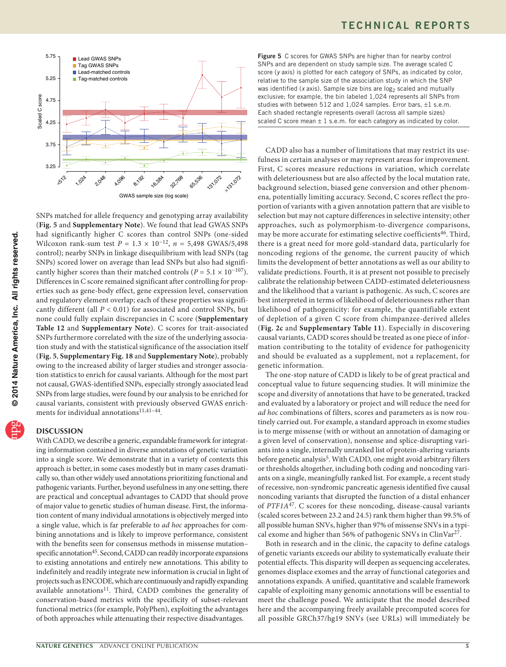

SNPs matched for allele frequency and genotyping array availability (**[Fig. 5](#page-4-0)** and **Supplementary Note**). We found that lead GWAS SNPs had significantly higher C scores than control SNPs (one-sided Wilcoxon rank-sum test *P* = 1.3 × 10−12, *n* = 5,498 GWAS/5,498 control); nearby SNPs in linkage disequilibrium with lead SNPs (tag SNPs) scored lower on average than lead SNPs but also had significantly higher scores than their matched controls ( $P = 5.1 \times 10^{-107}$ ). Differences in C score remained significant after controlling for properties such as gene-body effect, gene expression level, conservation and regulatory element overlap; each of these properties was significantly different (all *P* < 0.01) for associated and control SNPs, but none could fully explain discrepancies in C score (**Supplementary Table 12** and **Supplementary Note**). C scores for trait-associated SNPs furthermore correlated with the size of the underlying association study and with the statistical significance of the association itself (**[Fig. 5](#page-4-0)**, **Supplementary Fig. 18** and **Supplementary Note**), probably owing to the increased ability of larger studies and stronger association statistics to enrich for causal variants. Although for the most part not causal, GWAS-identified SNPs, especially strongly associated lead SNPs from large studies, were found by our analysis to be enriched for causal variants, consistent with previously observed GWAS enrich-ments for individual annotations<sup>[11,](#page-5-7)41-[44](#page-5-39)</sup>.

## **DISCUSSION**

With CADD, we describe a generic, expandable framework for integrating information contained in diverse annotations of genetic variation into a single score. We demonstrate that in a variety of contexts this approach is better, in some cases modestly but in many cases dramatically so, than other widely used annotations prioritizing functional and pathogenic variants. Further, beyond usefulness in any one setting, there are practical and conceptual advantages to CADD that should prove of major value to genetic studies of human disease. First, the information content of many individual annotations is objectively merged into a single value, which is far preferable to *ad hoc* approaches for combining annotations and is likely to improve performance, consistent with the benefits seen for consensus methods in missense mutation– specific annotation<sup>45</sup>. Second, CADD can readily incorporate expansions to existing annotations and entirely new annotations. This ability to indefinitely and readily integrate new information is crucial in light of projects such as ENCODE, which are continuously and rapidly expanding available annotations<sup>11</sup>. Third, CADD combines the generality of conservation-based metrics with the specificity of subset-relevant functional metrics (for example, PolyPhen), exploiting the advantages of both approaches while attenuating their respective disadvantages.

<span id="page-4-0"></span>Figure 5 C scores for GWAS SNPs are higher than for nearby control SNPs and are dependent on study sample size. The average scaled C score (*y* axis) is plotted for each category of SNPs, as indicated by color, relative to the sample size of the association study in which the SNP was identified (*x* axis). Sample size bins are log<sub>2</sub> scaled and mutually exclusive; for example, the bin labeled 1,024 represents all SNPs from studies with between 512 and 1,024 samples. Error bars, ±1 s.e.m. Each shaded rectangle represents overall (across all sample sizes) scaled C score mean  $\pm 1$  s.e.m. for each category as indicated by color.

CADD also has a number of limitations that may restrict its usefulness in certain analyses or may represent areas for improvement. First, C scores measure reductions in variation, which correlate with deleteriousness but are also affected by the local mutation rate, background selection, biased gene conversion and other phenomena, potentially limiting accuracy. Second, C scores reflect the proportion of variants with a given annotation pattern that are visible to selection but may not capture differences in selective intensity; other approaches, such as polymorphism-to-divergence comparisons, may be more accurate for estimating selective coefficients<sup>46</sup>. Third, there is a great need for more gold-standard data, particularly for noncoding regions of the genome, the current paucity of which limits the development of better annotations as well as our ability to validate predictions. Fourth, it is at present not possible to precisely calibrate the relationship between CADD-estimated deleteriousness and the likelihood that a variant is pathogenic. As such, C scores are best interpreted in terms of likelihood of deleteriousness rather than likelihood of pathogenicity: for example, the quantifiable extent of depletion of a given C score from chimpanzee-derived alleles (**[Fig. 2c](#page-2-0)** and **Supplementary Table 11**). Especially in discovering causal variants, CADD scores should be treated as one piece of information contributing to the totality of evidence for pathogenicity and should be evaluated as a supplement, not a replacement, for genetic information.

The one-stop nature of CADD is likely to be of great practical and conceptual value to future sequencing studies. It will minimize the scope and diversity of annotations that have to be generated, tracked and evaluated by a laboratory or project and will reduce the need for *ad hoc* combinations of filters, scores and parameters as is now routinely carried out. For example, a standard approach in exome studies is to merge missense (with or without an annotation of damaging or a given level of conservation), nonsense and splice-disrupting variants into a single, internally unranked list of protein-altering variants before genetic analysis<sup>5</sup>. With CADD, one might avoid arbitrary filters or thresholds altogether, including both coding and noncoding variants on a single, meaningfully ranked list. For example, a recent study of recessive, non-syndromic pancreatic agenesis identified five causal noncoding variants that disrupted the function of a distal enhancer of *PTF1A*[47.](#page-5-42) C scores for these noncoding, disease-causal variants (scaled scores between 23.2 and 24.5) rank them higher than 99.5% of all possible human SNVs, higher than 97% of missense SNVs in a typical exome and higher than 56% of pathogenic SNVs in ClinVar<sup>27</sup>.

Both in research and in the clinic, the capacity to define catalogs of genetic variants exceeds our ability to systematically evaluate their potential effects. This disparity will deepen as sequencing accelerates, genomes displace exomes and the array of functional categories and annotations expands. A unified, quantitative and scalable framework capable of exploiting many genomic annotations will be essential to meet the challenge posed. We anticipate that the model described here and the accompanying freely available precomputed scores for all possible GRCh37/hg19 SNVs (see URLs) will immediately be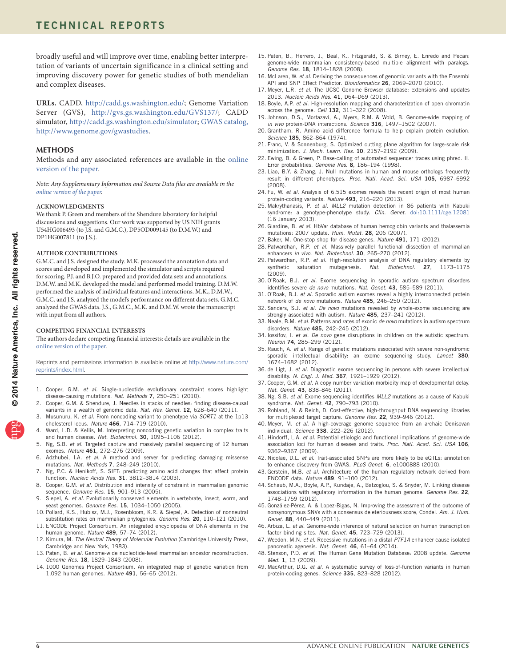# TECHNICAL REPORTS

broadly useful and will improve over time, enabling better interpretation of variants of uncertain significance in a clinical setting and improving discovery power for genetic studies of both mendelian and complex diseases.

**URLs.** CADD, <http://cadd.gs.washington.edu/>; Genome Variation Server (GVS), [http://gvs.gs.washington.edu/GVS137/;](http://gvs.gs.washington.edu/GVS137/) CADD simulator, [http://cadd.gs.washington.edu/simulator;](http://cadd.gs.washington.edu/simulator) [GWAS catalog,](GWAS catalog, http://www.genome.gov/gwastudies) [http://www.genome.gov/gwastudies](GWAS catalog, http://www.genome.gov/gwastudies).

### **Methods**

Methods and any associated references are available in the [online](http://www.nature.com/doifinder/10.1038/ng.2892) [version of the paper](http://www.nature.com/doifinder/10.1038/ng.2892).

*Note: Any Supplementary Information and Source Data files are available in the [online version of the paper.](http://www.nature.com/doifinder/10.1038/ng.2892)*

### **Acknowledgments**

We thank P. Green and members of the Shendure laboratory for helpful discussions and suggestions. Our work was supported by US NIH grants U54HG006493 (to J.S. and G.M.C.), DP5OD009145 (to D.M.W.) and DP1HG007811 (to J.S.).

### **AUTHOR CONTRIBUTIONS**

G.M.C. and J.S. designed the study. M.K. processed the annotation data and scores and developed and implemented the simulator and scripts required for scoring. P.J. and B.J.O. prepared and provided data sets and annotations. D.M.W. and M.K. developed the model and performed model training. D.M.W. performed the analysis of individual features and interactions. M.K., D.M.W., G.M.C. and J.S. analyzed the model's performance on different data sets. G.M.C. analyzed the GWAS data. J.S., G.M.C., M.K. and D.M.W. wrote the manuscript with input from all authors.

#### **COMPETING FINANCIAL INTERESTS**

The authors declare competing financial interests: details are available in the [online version of the paper.](http://www.nature.com/doifinder/10.1038/ng.2892)

Reprints and permissions information is available online at [http://www.nature.com/](http://www.nature.com/reprints/index.html) [reprints/index.html](http://www.nature.com/reprints/index.html).

- <span id="page-5-0"></span>1. Cooper, G.M. *et al.* Single-nucleotide evolutionary constraint scores highlight disease-causing mutations. *Nat. Methods* 7, 250–251 (2010).
- <span id="page-5-35"></span>2. Cooper, G.M. & Shendure, J. Needles in stacks of needles: finding disease-causal variants in a wealth of genomic data. *Nat. Rev. Genet.* 12, 628–640 (2011).
- 3. Musunuru, K. *et al.* From noncoding variant to phenotype via *SORT1* at the 1p13 cholesterol locus. *Nature* 466, 714–719 (2010).
- <span id="page-5-1"></span>4. Ward, L.D. & Kellis, M. Interpreting noncoding genetic variation in complex traits and human disease. *Nat. Biotechnol.* 30, 1095–1106 (2012).
- <span id="page-5-2"></span>5. Ng, S.B. *et al.* Targeted capture and massively parallel sequencing of 12 human exomes. *Nature* 461, 272–276 (2009).
- <span id="page-5-3"></span>6. Adzhubei, I.A. *et al.* A method and server for predicting damaging missense mutations. *Nat. Methods* 7, 248–249 (2010).
- <span id="page-5-4"></span>7. Ng, P.C. & Henikoff, S. SIFT: predicting amino acid changes that affect protein function. *Nucleic Acids Res.* 31, 3812–3814 (2003).
- <span id="page-5-5"></span>8. Cooper, G.M. *et al.* Distribution and intensity of constraint in mammalian genomic sequence. *Genome Res.* 15, 901–913 (2005).
- <span id="page-5-14"></span>9. Siepel, A. *et al.* Evolutionarily conserved elements in vertebrate, insect, worm, and yeast genomes. *Genome Res.* 15, 1034–1050 (2005).
- <span id="page-5-6"></span>10. Pollard, K.S., Hubisz, M.J., Rosenbloom, K.R. & Siepel, A. Detection of nonneutral substitution rates on mammalian phylogenies. *Genome Res.* 20, 110–121 (2010).
- <span id="page-5-7"></span>11. ENCODE Project Consortium. An integrated encyclopedia of DNA elements in the human genome. *Nature* 489, 57–74 (2012).
- <span id="page-5-8"></span>12. Kimura, M. *The Neutral Theory of Molecular Evolution* (Cambridge University Press, Cambridge and New York, 1983).
- <span id="page-5-9"></span>13. Paten, B. *et al.* Genome-wide nucleotide-level mammalian ancestor reconstruction. *Genome Res.* 18, 1829–1843 (2008).
- <span id="page-5-10"></span>14. 1000 Genomes Project Consortium. An integrated map of genetic variation from 1,092 human genomes. *Nature* 491, 56–65 (2012).
- <span id="page-5-11"></span>15. Paten, B., Herrero, J., Beal, K., Fitzgerald, S. & Birney, E. Enredo and Pecan: genome-wide mammalian consistency-based multiple alignment with paralogs. *Genome Res.* 18, 1814–1828 (2008).
- <span id="page-5-12"></span>16. McLaren, W. *et al.* Deriving the consequences of genomic variants with the Ensembl API and SNP Effect Predictor. *Bioinformatics* 26, 2069–2070 (2010).
- <span id="page-5-13"></span>17. Meyer, L.R. *et al.* The UCSC Genome Browser database: extensions and updates 2013. *Nucleic Acids Res.* 41, D64–D69 (2013).
- <span id="page-5-15"></span>18. Boyle, A.P. *et al.* High-resolution mapping and characterization of open chromatin across the genome. *Cell* 132, 311–322 (2008).
- <span id="page-5-16"></span>19. Johnson, D.S., Mortazavi, A., Myers, R.M. & Wold, B. Genome-wide mapping of *in vivo* protein-DNA interactions. *Science* 316, 1497–1502 (2007).
- <span id="page-5-17"></span>20. Grantham, R. Amino acid difference formula to help explain protein evolution. *Science* 185, 862–864 (1974).
- <span id="page-5-18"></span>21. Franc, V. & Sonnenburg, S. Optimized cutting plane algorithm for large-scale risk minimization. *J. Mach. Learn. Res.* 10, 2157–2192 (2009).
- <span id="page-5-19"></span>22. Ewing, B. & Green, P. Base-calling of automated sequencer traces using phred. II. Error probabilities. *Genome Res.* 8, 186–194 (1998).
- <span id="page-5-21"></span>23. Liao, B.Y. & Zhang, J. Null mutations in human and mouse orthologs frequently result in different phenotypes. *Proc. Natl. Acad. Sci. USA* 105, 6987–6992 (2008).
- <span id="page-5-24"></span>24. Fu, W. *et al.* Analysis of 6,515 exomes reveals the recent origin of most human protein-coding variants. *Nature* 493, 216–220 (2013).
- <span id="page-5-25"></span>25. Makrythanasis, P. *et al. MLL2* mutation detection in 86 patients with Kabuki syndrome: a genotype-phenotype study. *Clin. Genet.* <doi:10.1111/cge.12081> (16 January 2013).
- <span id="page-5-26"></span>26. Giardine, B. *et al.* HbVar database of human hemoglobin variants and thalassemia mutations: 2007 update. *Hum. Mutat.* 28, 206 (2007).
- <span id="page-5-27"></span>27. Baker, M. One-stop shop for disease genes. *Nature* 491, 171 (2012).
- <span id="page-5-28"></span>28. Patwardhan, R.P. *et al.* Massively parallel functional dissection of mammalian enhancers *in vivo*. *Nat. Biotechnol.* 30, 265–270 (2012).
- <span id="page-5-29"></span>29. Patwardhan, R.P. *et al.* High-resolution analysis of DNA regulatory elements by synthetic saturation mutagenesis. *Nat. Biotechnol.* **27**, 1173–1175 synthetic saturation mutagenesis. Nat. Biotechnol.  $(2009)$ .
- <span id="page-5-30"></span>30. O'Roak, B.J. *et al.* Exome sequencing in sporadic autism spectrum disorders identifies severe *de novo* mutations. *Nat. Genet.* 43, 585–589 (2011).
- 31. O'Roak, B.J. *et al.* Sporadic autism exomes reveal a highly interconnected protein network of *de novo* mutations. *Nature* 485, 246–250 (2012).
- 32. Sanders, S.J. *et al. De novo* mutations revealed by whole-exome sequencing are strongly associated with autism. *Nature* 485, 237–241 (2012).
- 33. Neale, B.M. *et al.* Patterns and rates of exonic *de novo* mutations in autism spectrum disorders. *Nature* 485, 242–245 (2012).
- <span id="page-5-31"></span>34. Iossifov, I. *et al. De novo* gene disruptions in children on the autistic spectrum. *Neuron* 74, 285–299 (2012).
- <span id="page-5-32"></span>35. Rauch, A. *et al.* Range of genetic mutations associated with severe non-syndromic sporadic intellectual disability: an exome sequencing study. *Lancet* 380, 1674–1682 (2012).
- <span id="page-5-33"></span>36. de Ligt, J. *et al.* Diagnostic exome sequencing in persons with severe intellectual disability. *N. Engl. J. Med.* 367, 1921–1929 (2012).
- <span id="page-5-34"></span>37. Cooper, G.M. *et al.* A copy number variation morbidity map of developmental delay. *Nat. Genet.* 43, 838–846 (2011).
- <span id="page-5-36"></span>38. Ng, S.B. *et al.* Exome sequencing identifies *MLL2* mutations as a cause of Kabuki syndrome. *Nat. Genet.* 42, 790–793 (2010).
- <span id="page-5-37"></span>39. Rohland, N. & Reich, D. Cost-effective, high-throughput DNA sequencing libraries for multiplexed target capture. *Genome Res.* 22, 939–946 (2012).
- <span id="page-5-38"></span>40. Meyer, M. *et al.* A high-coverage genome sequence from an archaic Denisovan individual. *Science* 338, 222–226 (2012).
- <span id="page-5-22"></span>41. Hindorff, L.A. *et al.* Potential etiologic and functional implications of genome-wide association loci for human diseases and traits. *Proc. Natl. Acad. Sci. USA* 106, 9362–9367 (2009).
- 42. Nicolae, D.L. *et al.* Trait-associated SNPs are more likely to be eQTLs: annotation to enhance discovery from GWAS. *PLoS Genet.* 6, e1000888 (2010).
- 43. Gerstein, M.B. *et al.* Architecture of the human regulatory network derived from ENCODE data. *Nature* 489, 91–100 (2012).
- <span id="page-5-39"></span>44. Schaub, M.A., Boyle, A.P., Kundaje, A., Batzoglou, S. & Snyder, M. Linking disease associations with regulatory information in the human genome. *Genome Res.* 22, 1748–1759 (2012).
- <span id="page-5-40"></span>45. González-Pérez, A. & Lopez-Bigas, N. Improving the assessment of the outcome of nonsynonymous SNVs with a consensus deleteriousness score, Condel. *Am. J. Hum. Genet.* 88, 440–449 (2011).
- <span id="page-5-41"></span>46. Arbiza, L. *et al.* Genome-wide inference of natural selection on human transcription factor binding sites. *Nat. Genet.* 45, 723–729 (2013).
- <span id="page-5-42"></span>47. Weedon, M.N. *et al.* Recessive mutations in a distal *PTF1A* enhancer cause isolated pancreatic agenesis. *Nat. Genet.* 46, 61–64 (2014).
- <span id="page-5-20"></span>48. Stenson, P.D. *et al.* The Human Gene Mutation Database: 2008 update. *Genome Med.* 1, 13 (2009).
- <span id="page-5-23"></span>49. MacArthur, D.G. *et al.* A systematic survey of loss-of-function variants in human protein-coding genes. *Science* 335, 823–828 (2012).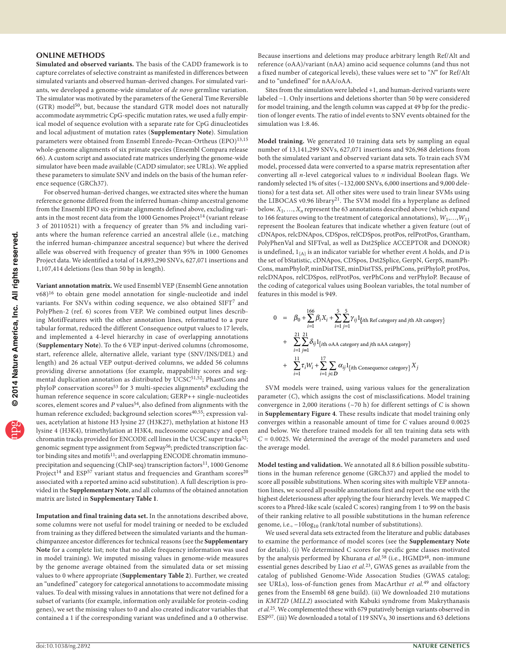### **ONLINE METHODS**

**Simulated and observed variants.** The basis of the CADD framework is to capture correlates of selective constraint as manifested in differences between simulated variants and observed human-derived changes. For simulated variants, we developed a genome-wide simulator of *de novo* germline variation. The simulator was motivated by the parameters of the General Time Reversible (GTR) model<sup>50</sup>, but, because the standard GTR model does not naturally accommodate asymmetric CpG-specific mutation rates, we used a fully empirical model of sequence evolution with a separate rate for CpG dinucleotides and local adjustment of mutation rates (**Supplementary Note**). Simulation parameters were obtained from Ensembl Enredo-Pecan-Ortheus (EPO)[13,](#page-5-9)[15](#page-5-11) whole-genome alignments of six primate species (Ensembl Compara release 66). A custom script and associated rate matrices underlying the genome-wide simulator have been made available (CADD simulator; see URLs). We applied these parameters to simulate SNV and indels on the basis of the human reference sequence (GRCh37).

For observed human-derived changes, we extracted sites where the human reference genome differed from the inferred human-chimp ancestral genome from the Ensembl EPO six-primate alignments defined above, excluding variants in the most recent data from the 1000 Genomes  $Project<sup>14</sup>$  $Project<sup>14</sup>$  $Project<sup>14</sup>$  (variant release 3 of 20110521) with a frequency of greater than 5% and including variants where the human reference carried an ancestral allele (i.e., matching the inferred human-chimpanzee ancestral sequence) but where the derived allele was observed with frequency of greater than 95% in 1000 Genomes Project data. We identified a total of 14,893,290 SNVs, 627,071 insertions and 1,107,414 deletions (less than 50 bp in length).

**Variant annotation matrix.** We used Ensembl VEP (Ensembl Gene annotation v68)[16](#page-5-12) to obtain gene model annotation for single-nucleotide and indel variants. For SNVs within coding sequence, we also obtained SIFT[7](#page-5-4) and PolyPhen-2 (ref. 6) scores from VEP. We combined output lines describing MotifFeatures with the other annotation lines, reformatted to a pure tabular format, reduced the different Consequence output values to 17 levels, and implemented a 4-level hierarchy in case of overlapping annotations (**Supplementary Note**). To the 6 VEP input-derived columns (chromosome, start, reference allele, alternative allele, variant type (SNV/INS/DEL) and length) and 26 actual VEP output-derived columns, we added 56 columns providing diverse annotations (for example, mappability scores and seg-mental duplication annotation as distributed by UCSC<sup>[51,](#page-7-1)[52](#page-7-2)</sup>; PhastCons and phyloP conservation scores<sup>53</sup> for 3 multi-species alignments<sup>9</sup> excluding the human reference sequence in score calculation; GERP++ single-nucleotides scores, element scores and *P* values<sup>54</sup>, also defined from alignments with the human reference excluded; background selection scores<sup>[40,](#page-5-38)[55](#page-7-5)</sup>; expression values, acetylation at histone H3 lysine 27 (H3K27), methylation at histone H3 lysine 4 (H3K4), trimethylation at H3K4, nucleosome occupancy and open chromatin tracks provided for ENCODE cell lines in the UCSC super tracks<sup>52</sup>; genomic segment type assignment from Segway<sup>[56](#page-7-6)</sup>; predicted transcription fac-tor binding sites and motifs<sup>[11](#page-5-7)</sup>; and overlapping ENCODE chromatin immunoprecipitation and sequencing (ChIP-seq) transcription factors<sup>11</sup>, 1000 Genome Project<sup>14</sup> and ESP<sup>[57](#page-7-7)</sup> variant status and frequencies and Grantham scores<sup>20</sup> associated with a reported amino acid substitution). A full description is provided in the **Supplementary Note**, and all columns of the obtained annotation matrix are listed in **Supplementary Table 1**.

**Imputation and final training data set.** In the annotations described above, some columns were not useful for model training or needed to be excluded from training as they differed between the simulated variants and the humanchimpanzee ancestor differences for technical reasons (see the **Supplementary Note** for a complete list; note that no allele frequency information was used in model training). We imputed missing values in genome-wide measures by the genome average obtained from the simulated data or set missing values to 0 where appropriate (**Supplementary Table 2**). Further, we created an "undefined" category for categorical annotations to accommodate missing values. To deal with missing values in annotations that were not defined for a subset of variants (for example, information only available for protein-coding genes), we set the missing values to 0 and also created indicator variables that contained a 1 if the corresponding variant was undefined and a 0 otherwise.

Because insertions and deletions may produce arbitrary length Ref/Alt and reference (oAA)/variant (nAA) amino acid sequence columns (and thus not a fixed number of categorical levels), these values were set to "*N*" for Ref/Alt and to "undefined" for nAA/oAA.

Sites from the simulation were labeled +1, and human-derived variants were labeled −1. Only insertions and deletions shorter than 50 bp were considered for model training, and the length column was capped at 49 bp for the prediction of longer events. The ratio of indel events to SNV events obtained for the simulation was 1:8.46.

**Model training.** We generated 10 training data sets by sampling an equal number of 13,141,299 SNVs, 627,071 insertions and 926,968 deletions from both the simulated variant and observed variant data sets. To train each SVM model, processed data were converted to a sparse matrix representation after converting all *n*-level categorical values to *n* individual Boolean flags. We randomly selected 1% of sites (~132,000 SNVs, 6,000 insertions and 9,000 deletions) for a test data set. All other sites were used to train linear SVMs using the LIBOCAS v0.96 library<sup>21</sup>. The SVM model fits a hyperplane as defined below.  $X_1, \ldots, X_n$  represent the 63 annotations described above (which expand to 166 features owing to the treatment of categorical annotations),  $W_1, \ldots, W_{11}$ represent the Boolean features that indicate whether a given feature (out of cDNApos, relcDNApos, CDSpos, relCDSpos, protPos, relProtPos, Grantham, PolyPhenVal and SIFTval, as well as Dst2Splice ACCEPTOR and DONOR) is undefined, 1{A} is an indicator variable for whether event *A* holds, and *D* is the set of bStatistic, cDNApos, CDSpos, Dst2Splice, GerpN, GerpS, mamPh-Cons, mamPhyloP, minDistTSE, minDistTSS, priPhCons, priPhyloP, protPos, relcDNApos, relCDSpos, relProtPos, verPhCons and verPhyloP. Because of the coding of categorical values using Boolean variables, the total number of features in this model is 949.

$$
0 = \beta_0 + \sum_{i=1}^{166} \beta_i X_i + \sum_{i=1}^{5} \sum_{j=1}^{5} \gamma_{ij} 1_{\{i\text{th Ref category and } j\text{th Alt category}\}}
$$
  
+ 
$$
\sum_{i=1}^{21} \sum_{j=1}^{21} \delta_{ij} 1_{\{i\text{th oAA category and } j\text{th nAA category}\}}
$$
  
+ 
$$
\sum_{i=1}^{11} \tau_i W_i + \sum_{i=1}^{17} \sum_{j\in D} \alpha_{ij} 1_{\{i\text{th Consequence category}\}} X_j
$$

SVM models were trained, using various values for the generalization parameter (*C*), which assigns the cost of misclassifications. Model training convergence in 2,000 iterations (~70 h) for different settings of *C* is shown in **Supplementary Figure 4**. These results indicate that model training only converges within a reasonable amount of time for *C* values around 0.0025 and below. We therefore trained models for all ten training data sets with *C* = 0.0025. We determined the average of the model parameters and used the average model.

**Model testing and validation.** We annotated all 8.6 billion possible substitutions in the human reference genome (GRCh37) and applied the model to score all possible substitutions. When scoring sites with multiple VEP annotation lines, we scored all possible annotations first and report the one with the highest deleteriousness after applying the four hierarchy levels. We mapped C scores to a Phred-like scale (scaled C scores) ranging from 1 to 99 on the basis of their ranking relative to all possible substitutions in the human reference genome, i.e., -10log<sub>10</sub> (rank/total number of substitutions).

We used several data sets extracted from the literature and public databases to examine the performance of model scores (see the **Supplementary Note** for details). (i) We determined C scores for specific gene classes motivated by the analysis performed by Khurana et al.<sup>58</sup> (i.e., HGMD<sup>48</sup>, non-immune essential genes described by Liao *et al.*[23](#page-5-21), GWAS genes as available from the catalog of published Genome-Wide Assocation Studies (GWAS catalog; see URLs), loss-of-function genes from MacArthur *et al.*[49](#page-5-23) and olfactory genes from the Ensembl 68 gene build). (ii) We downloaded 210 mutations in *KMT2D* (*MLL2*) associated with Kabuki syndrome from Makrythanasis *et al.*[25.](#page-5-25) We complemented these with 679 putatively benign variants observed in ESP<sup>[57](#page-7-7)</sup>. (iii) We downloaded a total of 119 SNVs, 30 insertions and 63 deletions